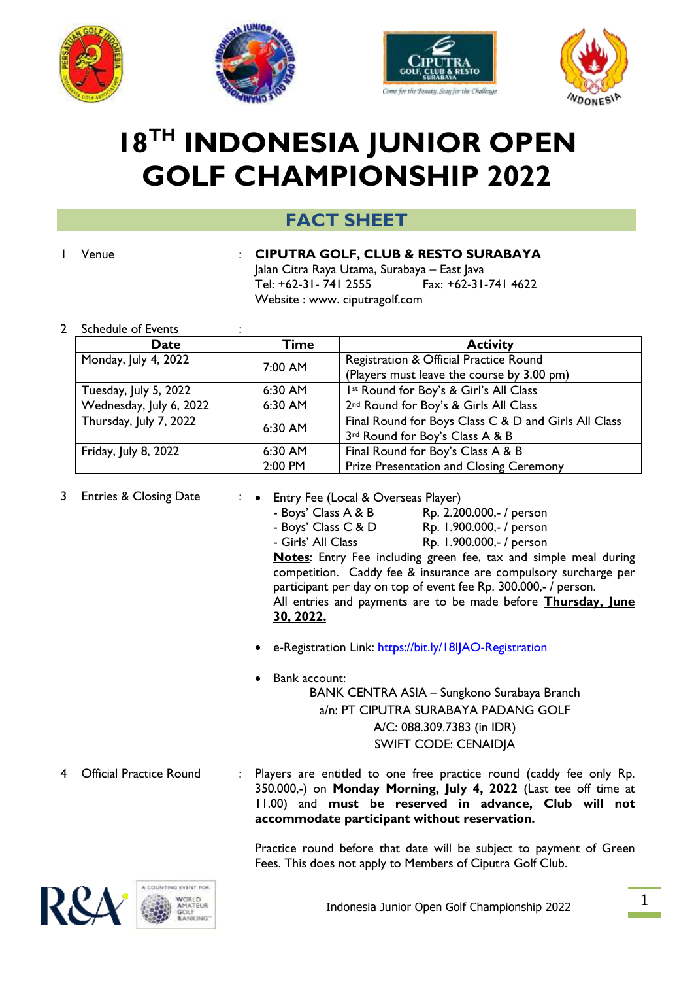







# **18TH INDONESIA JUNIOR OPEN GOLF CHAMPIONSHIP 2022**

# **FACT SHEET**

#### 1 Venue : **CIPUTRA GOLF, CLUB & RESTO SURABAYA**

Jalan Citra Raya Utama, Surabaya – East Java Tel: +62-31- 741 2555 Fax: +62-31-741 4622 Website : www. ciputragolf.com

2 Schedule of Events :

| Date                    | <b>Time</b> | <b>Activity</b>                                      |
|-------------------------|-------------|------------------------------------------------------|
| Monday, July 4, 2022    | 7:00 AM     | Registration & Official Practice Round               |
|                         |             | (Players must leave the course by 3.00 pm)           |
| Tuesday, July 5, 2022   | 6:30 AM     | Ist Round for Boy's & Girl's All Class               |
| Wednesday, July 6, 2022 | 6:30 AM     | 2 <sup>nd</sup> Round for Boy's & Girls All Class    |
| Thursday, July 7, 2022  | 6:30 AM     | Final Round for Boys Class C & D and Girls All Class |
|                         |             | 3rd Round for Boy's Class A & B                      |
| Friday, July 8, 2022    | 6:30 AM     | Final Round for Boy's Class A & B                    |
|                         | 2:00 PM     | Prize Presentation and Closing Ceremony              |

- 3 Entries & Closing Date : Entry Fee (Local & Overseas Player)
	- Boys' Class A & B Rp. 2.200.000,- / person - Boys' Class C & D Rp. 1.900.000,- / person - Girls' All Class Rp. 1.900.000,- / person **Notes**: Entry Fee including green fee, tax and simple meal during competition. Caddy fee & insurance are compulsory surcharge per participant per day on top of event fee Rp. 300.000,- / person. All entries and payments are to be made before **Thursday, June 30, 2022.**
	- e-Registration Link:<https://bit.ly/18IJAO-Registration>
		- Bank account: BANK CENTRA ASIA – Sungkono Surabaya Branch a/n: PT CIPUTRA SURABAYA PADANG GOLF A/C: 088.309.7383 (in IDR) SWIFT CODE: CENAIDJA
- 4 Official Practice Round : Players are entitled to one free practice round (caddy fee only Rp. 350.000,-) on **Monday Morning, July 4, 2022** (Last tee off time at 11.00) and **must be reserved in advance, Club will not accommodate participant without reservation.**

Practice round before that date will be subject to payment of Green Fees. This does not apply to Members of Ciputra Golf Club.